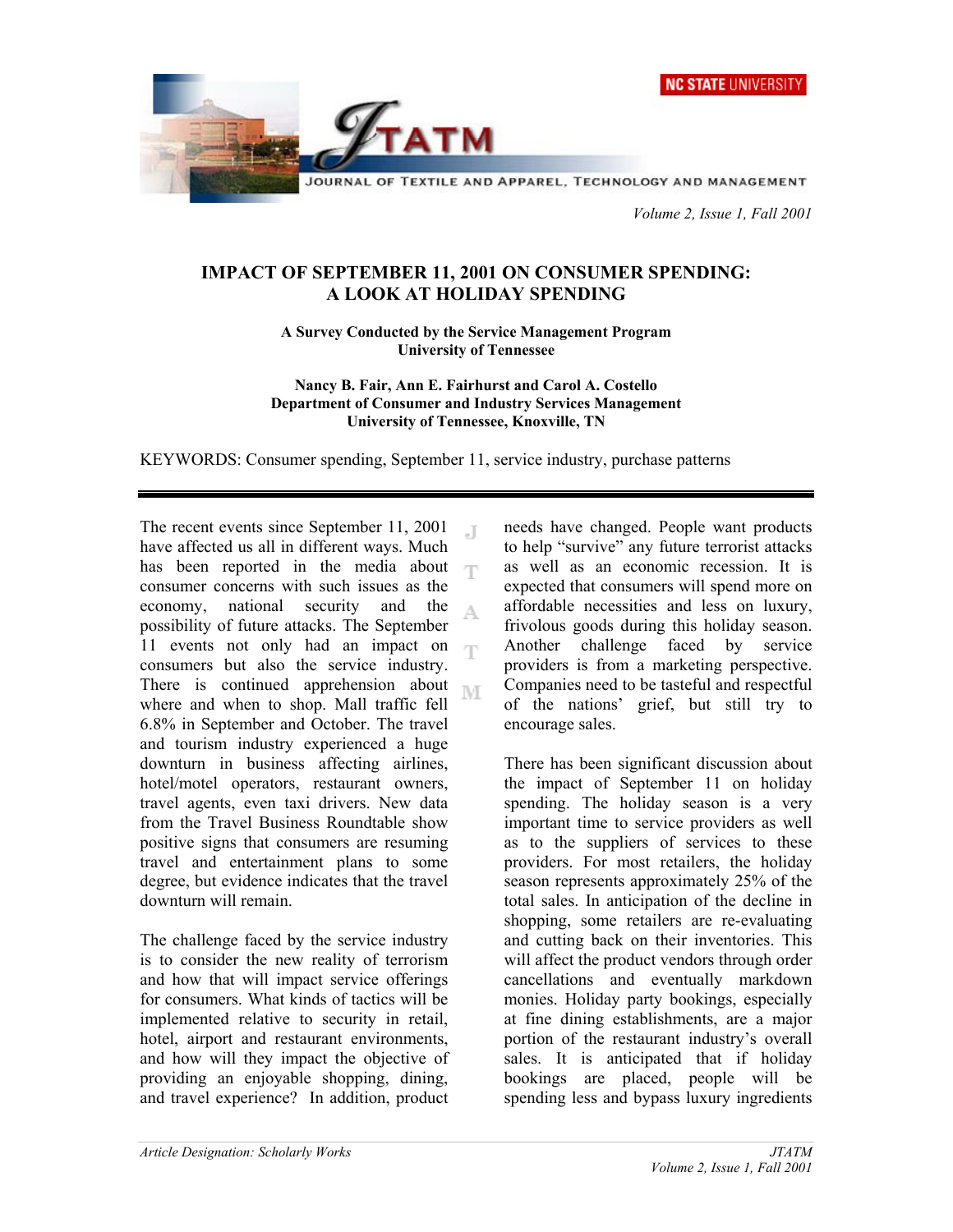NC STATE UNIVERSITY



 *Volume 2, Issue 1, Fall 2001* 

## **IMPACT OF SEPTEMBER 11, 2001 ON CONSUMER SPENDING: A LOOK AT HOLIDAY SPENDING**

**A Survey Conducted by the Service Management Program University of Tennessee** 

**Nancy B. Fair, Ann E. Fairhurst and Carol A. Costello Department of Consumer and Industry Services Management University of Tennessee, Knoxville, TN** 

KEYWORDS: Consumer spending, September 11, service industry, purchase patterns

The recent events since September 11, 2001  $\Box$ have affected us all in different ways. Much has been reported in the media about  $\Box$ consumer concerns with such issues as the economy, national security and the A possibility of future attacks. The September 11 events not only had an impact on consumers but also the service industry. There is continued apprehension about M where and when to shop. Mall traffic fell 6.8% in September and October. The travel and tourism industry experienced a huge downturn in business affecting airlines, hotel/motel operators, restaurant owners, travel agents, even taxi drivers. New data from the Travel Business Roundtable show positive signs that consumers are resuming travel and entertainment plans to some degree, but evidence indicates that the travel downturn will remain.

The challenge faced by the service industry is to consider the new reality of terrorism and how that will impact service offerings for consumers. What kinds of tactics will be implemented relative to security in retail, hotel, airport and restaurant environments, and how will they impact the objective of providing an enjoyable shopping, dining, and travel experience? In addition, product

needs have changed. People want products to help "survive" any future terrorist attacks as well as an economic recession. It is expected that consumers will spend more on affordable necessities and less on luxury, frivolous goods during this holiday season. Another challenge faced by service providers is from a marketing perspective. Companies need to be tasteful and respectful of the nations' grief, but still try to encourage sales.

There has been significant discussion about the impact of September 11 on holiday spending. The holiday season is a very important time to service providers as well as to the suppliers of services to these providers. For most retailers, the holiday season represents approximately 25% of the total sales. In anticipation of the decline in shopping, some retailers are re-evaluating and cutting back on their inventories. This will affect the product vendors through order cancellations and eventually markdown monies. Holiday party bookings, especially at fine dining establishments, are a major portion of the restaurant industry's overall sales. It is anticipated that if holiday bookings are placed, people will be spending less and bypass luxury ingredients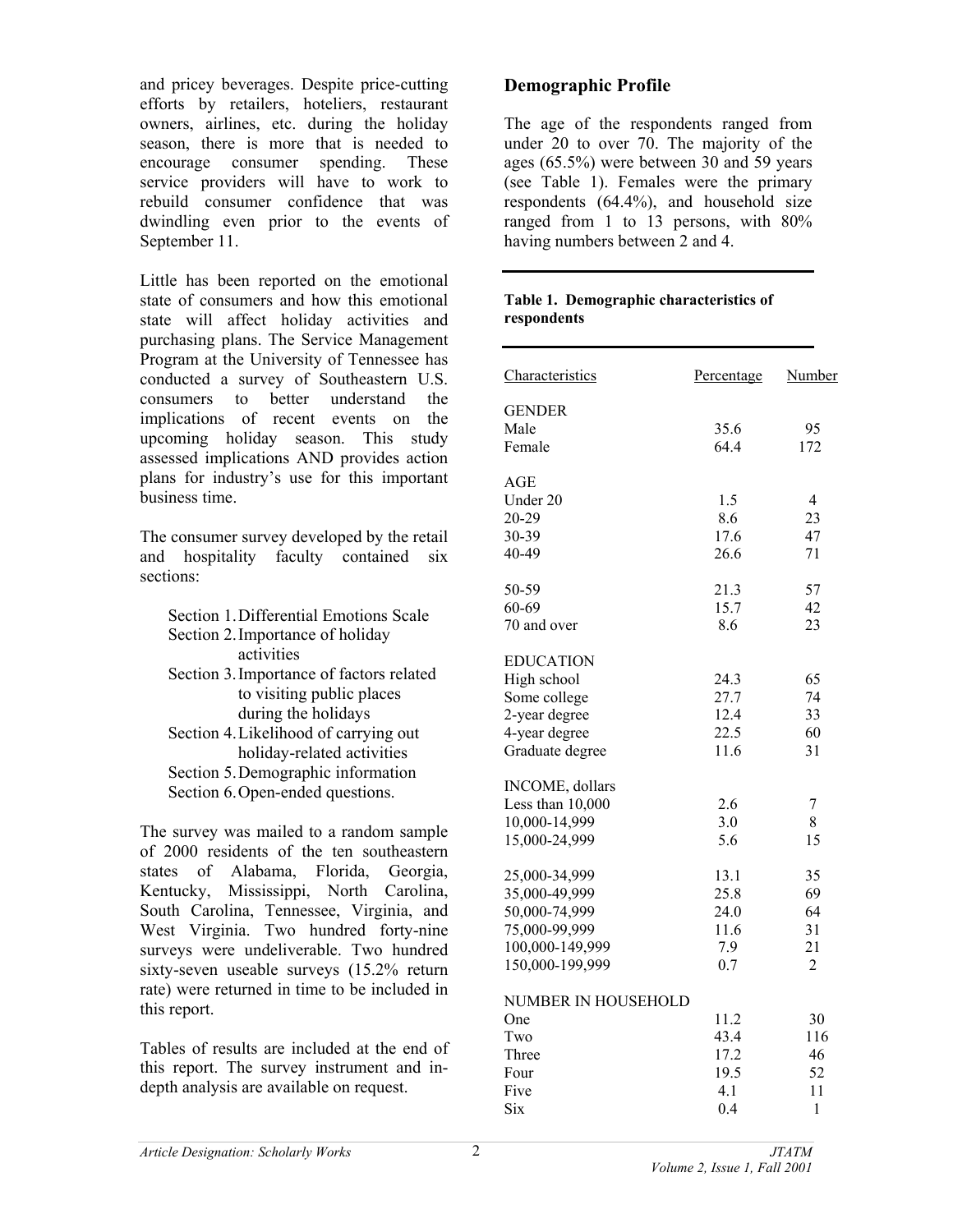and pricey beverages. Despite price-cutting efforts by retailers, hoteliers, restaurant owners, airlines, etc. during the holiday season, there is more that is needed to encourage consumer spending. These service providers will have to work to rebuild consumer confidence that was dwindling even prior to the events of September 11.

Little has been reported on the emotional state of consumers and how this emotional state will affect holiday activities and purchasing plans. The Service Management Program at the University of Tennessee has conducted a survey of Southeastern U.S. consumers to better understand the implications of recent events on the upcoming holiday season. This study assessed implications AND provides action plans for industry's use for this important business time.

The consumer survey developed by the retail and hospitality faculty contained six sections:

| Section 1. Differential Emotions Scale   |
|------------------------------------------|
| Section 2. Importance of holiday         |
| activities                               |
| Section 3. Importance of factors related |
| to visiting public places                |
| during the holidays                      |
| Section 4. Likelihood of carrying out    |
| holiday-related activities               |
| Section 5. Demographic information       |
| Section 6. Open-ended questions.         |
|                                          |

The survey was mailed to a random sample of 2000 residents of the ten southeastern states of Alabama, Florida, Georgia, Kentucky, Mississippi, North Carolina, South Carolina, Tennessee, Virginia, and West Virginia. Two hundred forty-nine surveys were undeliverable. Two hundred sixty-seven useable surveys (15.2% return rate) were returned in time to be included in this report.

Tables of results are included at the end of this report. The survey instrument and indepth analysis are available on request.

# **Demographic Profile**

The age of the respondents ranged from under 20 to over 70. The majority of the ages (65.5%) were between 30 and 59 years (see Table 1). Females were the primary respondents (64.4%), and household size ranged from 1 to 13 persons, with 80% having numbers between 2 and 4.

#### **Table 1. Demographic characteristics of respondents**

| Characteristics                | Percentage   | <b>Number</b>  |
|--------------------------------|--------------|----------------|
|                                |              |                |
| <b>GENDER</b>                  |              |                |
| Male                           | 35.6<br>64.4 | 95             |
| Female                         |              | 172            |
| AGE                            |              |                |
| Under 20                       | 1.5          | 4              |
| 20-29                          | 8.6          | 23             |
| 30-39                          | 17.6         | 47             |
| 40-49                          | 26.6         | 71             |
| 50-59                          | 21.3         | 57             |
| 60-69                          | 15.7         | 42             |
| 70 and over                    | 8.6          | 23             |
|                                |              |                |
| <b>EDUCATION</b>               |              |                |
| High school                    | 24.3         | 65             |
| Some college                   | 27.7         | 74             |
| 2-year degree                  | 12.4         | 33             |
| 4-year degree                  | 22.5         | 60             |
| Graduate degree                | 11.6         | 31             |
| <b>INCOME</b> , dollars        |              |                |
| Less than 10,000               | 2.6          | 7              |
| 10,000-14,999                  | 3.0          | 8              |
| 15,000-24,999                  | 5.6          | 15             |
|                                |              |                |
| 25,000-34,999                  | 13.1         | 35             |
| 35,000-49,999<br>50,000-74,999 | 25.8         | 69<br>64       |
| 75,000-99,999                  | 24.0         | 31             |
|                                | 11.6         | 21             |
| 100,000-149,999                | 7.9          |                |
| 150,000-199,999                | 0.7          | $\overline{2}$ |
| NUMBER IN HOUSEHOLD            |              |                |
| One                            | 11.2         | 30             |
| Two                            | 43.4         | 116            |
| Three                          | 17.2         | 46             |
| Four                           | 19.5         | 52             |
| Five                           | 4.1          | 11             |
| Six                            | 0.4          | 1              |
|                                |              |                |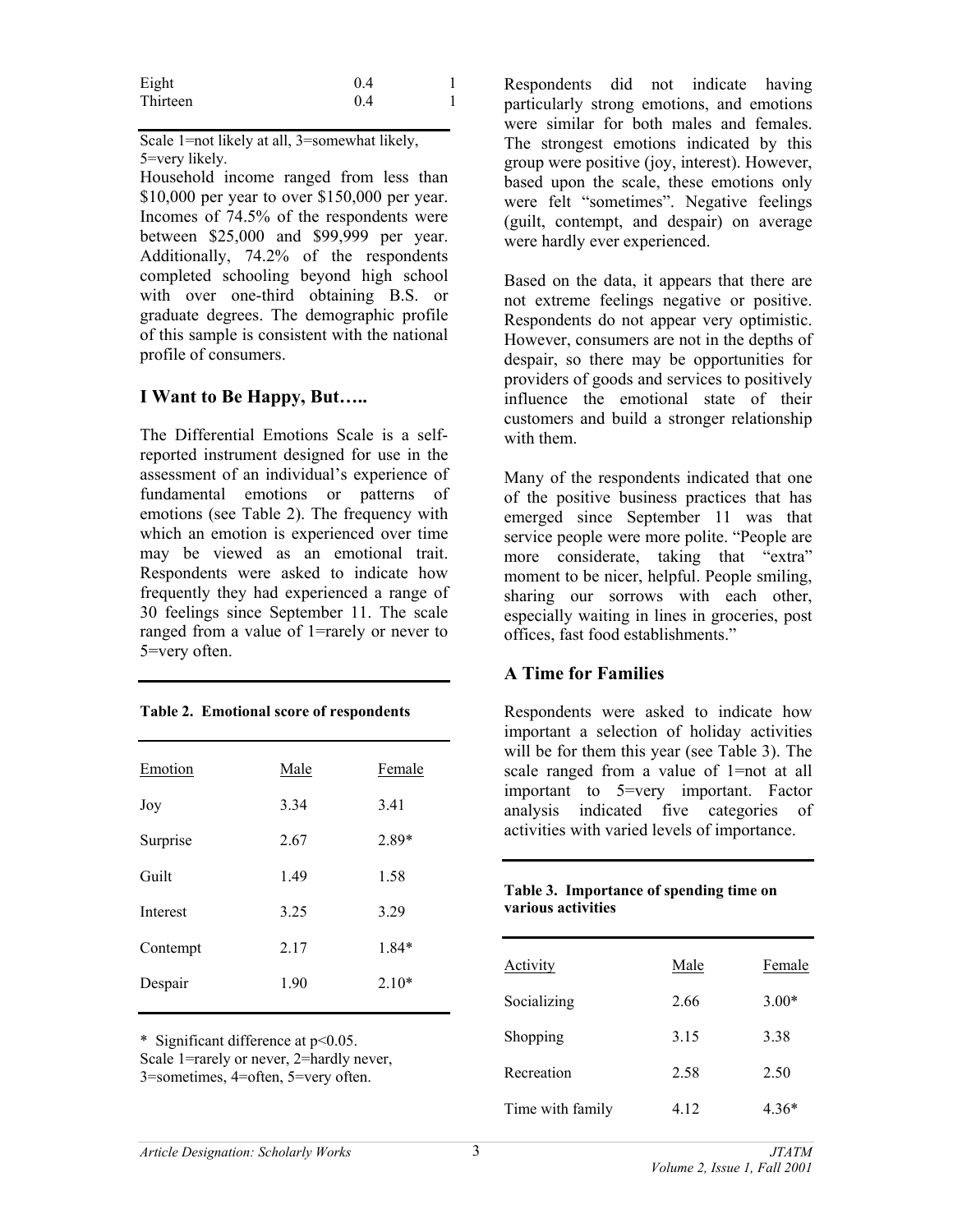| Eight    | 0.4 |  |
|----------|-----|--|
| Thirteen | 0.4 |  |

Scale 1=not likely at all, 3=somewhat likely, 5=very likely.

Household income ranged from less than \$10,000 per year to over \$150,000 per year. Incomes of 74.5% of the respondents were between \$25,000 and \$99,999 per year. Additionally, 74.2% of the respondents completed schooling beyond high school with over one-third obtaining B.S. or graduate degrees. The demographic profile of this sample is consistent with the national profile of consumers.

### **I Want to Be Happy, But…..**

The Differential Emotions Scale is a selfreported instrument designed for use in the assessment of an individual's experience of fundamental emotions or patterns of emotions (see Table 2). The frequency with which an emotion is experienced over time may be viewed as an emotional trait. Respondents were asked to indicate how frequently they had experienced a range of 30 feelings since September 11. The scale ranged from a value of 1=rarely or never to 5=very often.

|  | Table 2. Emotional score of respondents |
|--|-----------------------------------------|
|  |                                         |

| Emotion  | Male | Female  |
|----------|------|---------|
| Joy      | 3.34 | 3.41    |
| Surprise | 2.67 | 2.89*   |
| Guilt    | 1.49 | 1.58    |
| Interest | 3.25 | 3.29    |
| Contempt | 2.17 | $1.84*$ |
| Despair  | 1.90 | $2.10*$ |
|          |      |         |

\* Significant difference at p<0.05. Scale 1=rarely or never, 2=hardly never, 3=sometimes, 4=often, 5=very often.

Respondents did not indicate having particularly strong emotions, and emotions were similar for both males and females. The strongest emotions indicated by this group were positive (joy, interest). However, based upon the scale, these emotions only were felt "sometimes". Negative feelings (guilt, contempt, and despair) on average were hardly ever experienced.

Based on the data, it appears that there are not extreme feelings negative or positive. Respondents do not appear very optimistic. However, consumers are not in the depths of despair, so there may be opportunities for providers of goods and services to positively influence the emotional state of their customers and build a stronger relationship with them.

Many of the respondents indicated that one of the positive business practices that has emerged since September 11 was that service people were more polite. "People are more considerate, taking that "extra" moment to be nicer, helpful. People smiling, sharing our sorrows with each other, especially waiting in lines in groceries, post offices, fast food establishments."

### **A Time for Families**

Respondents were asked to indicate how important a selection of holiday activities will be for them this year (see Table 3). The scale ranged from a value of 1=not at all important to 5=very important. Factor analysis indicated five categories of activities with varied levels of importance.

|                    | Table 3. Importance of spending time on |
|--------------------|-----------------------------------------|
| various activities |                                         |

| Activity         | Male | Female  |
|------------------|------|---------|
| Socializing      | 2.66 | $3.00*$ |
| Shopping         | 3.15 | 3.38    |
| Recreation       | 2.58 | 2.50    |
| Time with family | 4.12 | $4.36*$ |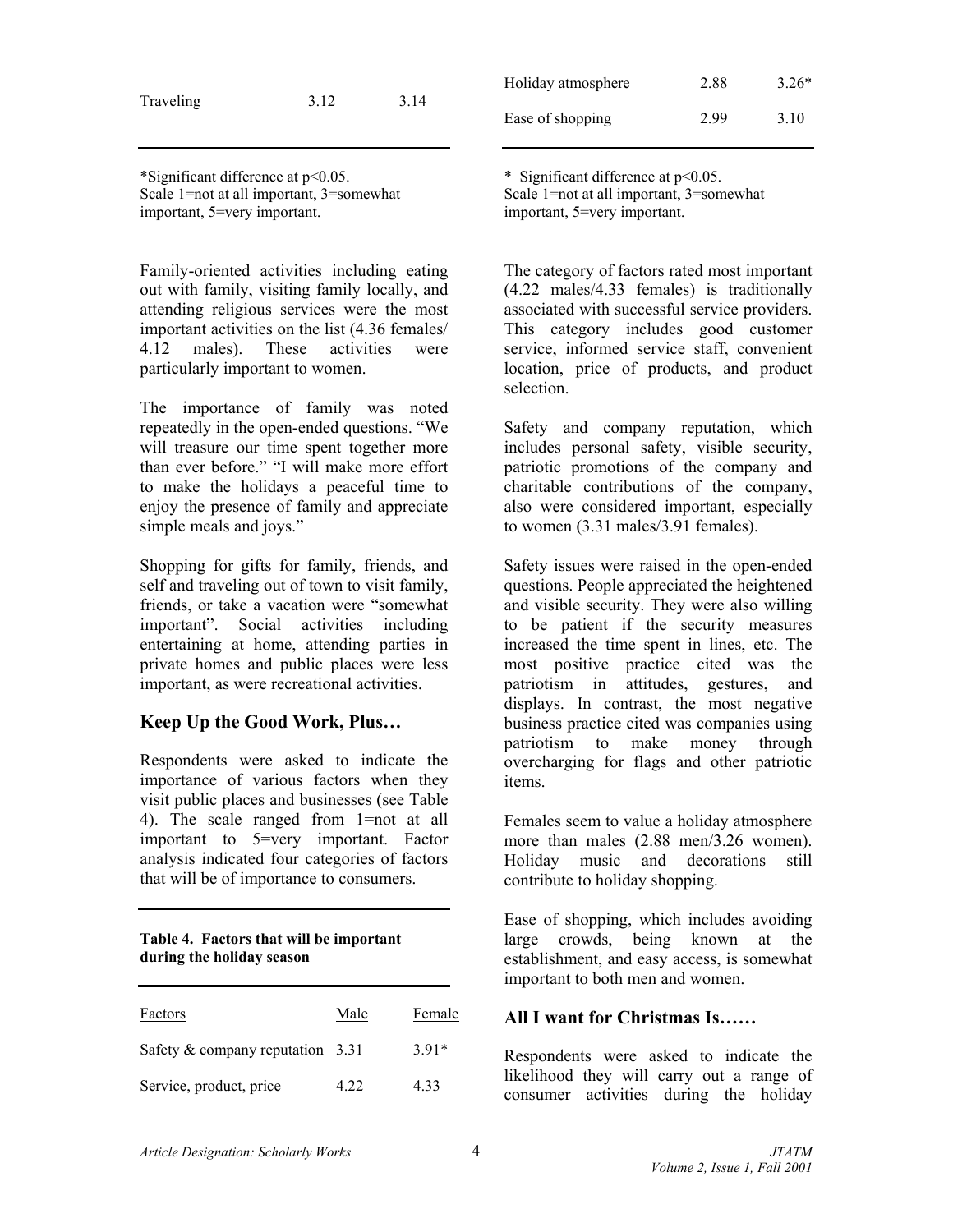| Traveling | 3.12 | 3.14 |
|-----------|------|------|
|           |      |      |

\*Significant difference at p<0.05. Scale 1=not at all important, 3=somewhat important, 5=very important.

Family-oriented activities including eating out with family, visiting family locally, and attending religious services were the most important activities on the list (4.36 females/ 4.12 males). These activities were particularly important to women.

The importance of family was noted repeatedly in the open-ended questions. "We will treasure our time spent together more than ever before." "I will make more effort to make the holidays a peaceful time to enjoy the presence of family and appreciate simple meals and joys."

Shopping for gifts for family, friends, and self and traveling out of town to visit family, friends, or take a vacation were "somewhat important". Social activities including entertaining at home, attending parties in private homes and public places were less important, as were recreational activities.

### **Keep Up the Good Work, Plus…**

Respondents were asked to indicate the importance of various factors when they visit public places and businesses (see Table 4). The scale ranged from 1=not at all important to 5=very important. Factor analysis indicated four categories of factors that will be of importance to consumers.

#### **Table 4. Factors that will be important during the holiday season**

| Factors                            | Male | Female  |
|------------------------------------|------|---------|
| Safety $&$ company reputation 3.31 |      | $3.91*$ |
| Service, product, price            | 4.22 | 4.33    |

| Holiday atmosphere | 2.88 | $3.26*$ |
|--------------------|------|---------|
| Ease of shopping   | 2.99 | 3.10    |

\* Significant difference at p<0.05. Scale 1=not at all important, 3=somewhat important, 5=very important.

The category of factors rated most important (4.22 males/4.33 females) is traditionally associated with successful service providers. This category includes good customer service, informed service staff, convenient location, price of products, and product selection.

Safety and company reputation, which includes personal safety, visible security, patriotic promotions of the company and charitable contributions of the company, also were considered important, especially to women (3.31 males/3.91 females).

Safety issues were raised in the open-ended questions. People appreciated the heightened and visible security. They were also willing to be patient if the security measures increased the time spent in lines, etc. The most positive practice cited was the patriotism in attitudes, gestures, and displays. In contrast, the most negative business practice cited was companies using patriotism to make money through overcharging for flags and other patriotic items.

Females seem to value a holiday atmosphere more than males  $(2.88 \text{ men}/3.26 \text{ women})$ . Holiday music and decorations still contribute to holiday shopping.

Ease of shopping, which includes avoiding large crowds, being known at the establishment, and easy access, is somewhat important to both men and women.

### **All I want for Christmas Is……**

Respondents were asked to indicate the likelihood they will carry out a range of consumer activities during the holiday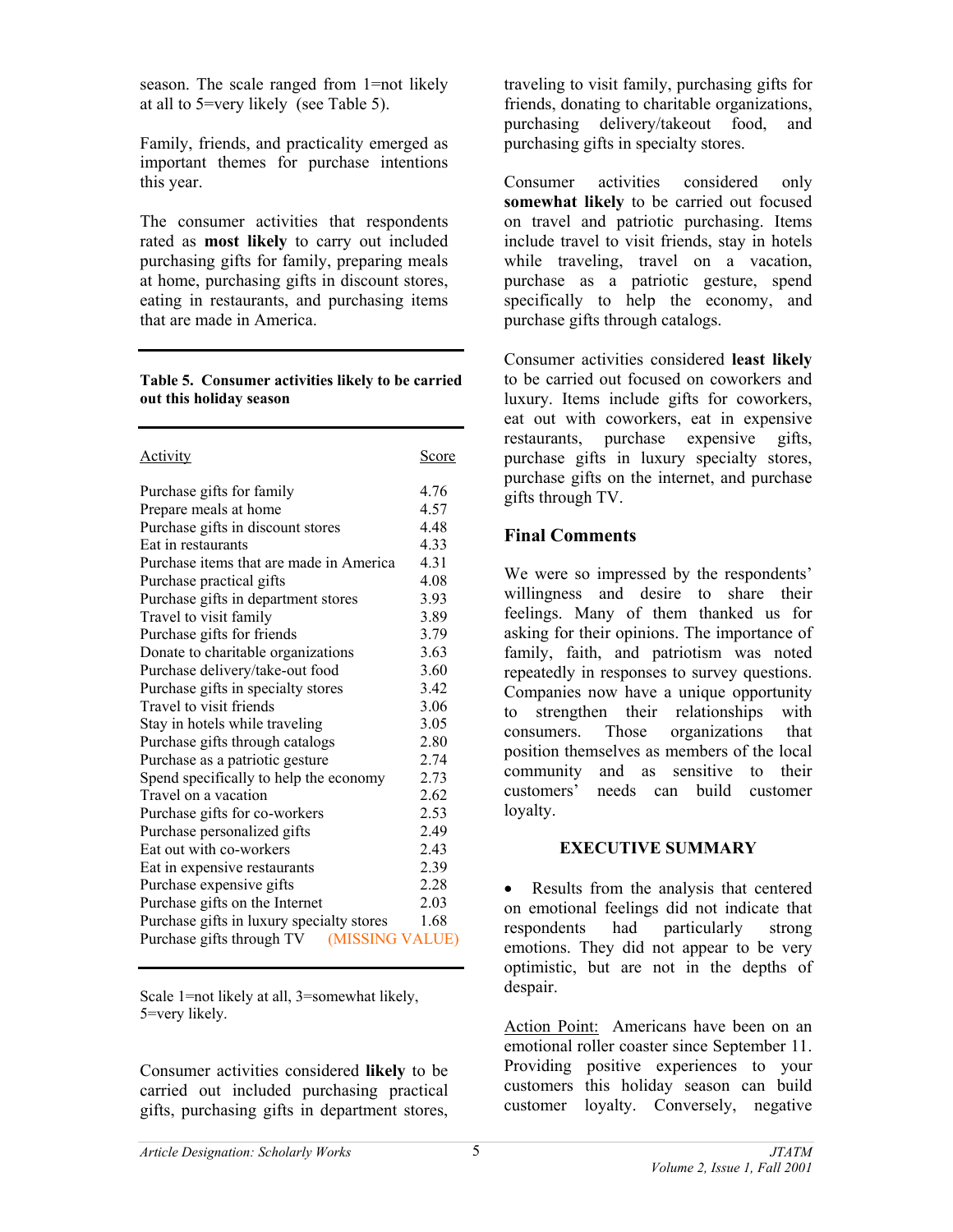season. The scale ranged from 1=not likely at all to 5=very likely (see Table 5).

Family, friends, and practicality emerged as important themes for purchase intentions this year.

The consumer activities that respondents rated as **most likely** to carry out included purchasing gifts for family, preparing meals at home, purchasing gifts in discount stores, eating in restaurants, and purchasing items that are made in America.

#### **Table 5. Consumer activities likely to be carried out this holiday season**

| Activity                                     | Score |
|----------------------------------------------|-------|
| Purchase gifts for family                    | 4.76  |
| Prepare meals at home                        | 4.57  |
| Purchase gifts in discount stores            | 4.48  |
| Eat in restaurants                           | 4.33  |
| Purchase items that are made in America      | 4.31  |
| Purchase practical gifts                     | 4.08  |
| Purchase gifts in department stores          | 3.93  |
| Travel to visit family                       | 3.89  |
| Purchase gifts for friends                   | 3.79  |
| Donate to charitable organizations           | 3.63  |
| Purchase delivery/take-out food              | 3.60  |
| Purchase gifts in specialty stores           | 3.42  |
| Travel to visit friends                      | 3.06  |
| Stay in hotels while traveling               | 3.05  |
| Purchase gifts through catalogs              | 2.80  |
| Purchase as a patriotic gesture              | 2.74  |
| Spend specifically to help the economy       | 2.73  |
| Travel on a vacation                         | 2.62  |
| Purchase gifts for co-workers                | 2.53  |
| Purchase personalized gifts                  | 2.49  |
| Eat out with co-workers                      | 2.43  |
| Eat in expensive restaurants                 | 2.39  |
| Purchase expensive gifts                     | 2.28  |
| Purchase gifts on the Internet               | 2.03  |
| Purchase gifts in luxury specialty stores    | 1.68  |
| Purchase gifts through TV<br>(MISSING VALUE) |       |

Scale 1=not likely at all, 3=somewhat likely, 5=very likely.

Consumer activities considered **likely** to be carried out included purchasing practical gifts, purchasing gifts in department stores,

traveling to visit family, purchasing gifts for friends, donating to charitable organizations, purchasing delivery/takeout food, and purchasing gifts in specialty stores.

Consumer activities considered only **somewhat likely** to be carried out focused on travel and patriotic purchasing. Items include travel to visit friends, stay in hotels while traveling, travel on a vacation, purchase as a patriotic gesture, spend specifically to help the economy, and purchase gifts through catalogs.

Consumer activities considered **least likely** to be carried out focused on coworkers and luxury. Items include gifts for coworkers, eat out with coworkers, eat in expensive restaurants, purchase expensive gifts, purchase gifts in luxury specialty stores, purchase gifts on the internet, and purchase gifts through TV.

## **Final Comments**

We were so impressed by the respondents' willingness and desire to share their feelings. Many of them thanked us for asking for their opinions. The importance of family, faith, and patriotism was noted repeatedly in responses to survey questions. Companies now have a unique opportunity to strengthen their relationships with consumers. Those organizations that position themselves as members of the local community and as sensitive to their customers' needs can build customer loyalty.

## **EXECUTIVE SUMMARY**

• Results from the analysis that centered on emotional feelings did not indicate that respondents had particularly strong emotions. They did not appear to be very optimistic, but are not in the depths of despair.

Action Point: Americans have been on an emotional roller coaster since September 11. Providing positive experiences to your customers this holiday season can build customer loyalty. Conversely, negative